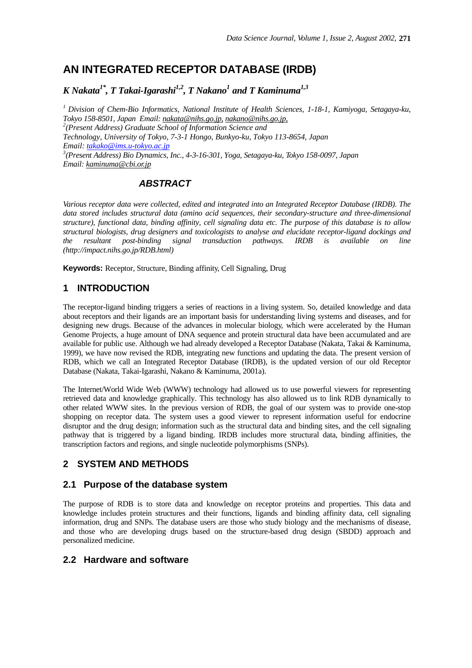# **AN INTEGRATED RECEPTOR DATABASE (IRDB)**

*K Nakata1\*, T Takai-Igarashi1,2, T Nakano<sup>1</sup> and T Kaminuma1,3*

*<sup>1</sup>Division of Chem-Bio Informatics, National Institute of Health Sciences, 1-18-1, Kamiyoga, Setagaya-ku, Tokyo 158-8501, Japan Email: nakata@nihs.go.jp, nakano@nihs.go.jp, 2 (Present Address) Graduate School of Information Science and Technology, University of Tokyo, 7-3-1 Hongo, Bunkyo-ku, Tokyo 113-8654, Japan Email: takako@ims.u-tokyo.ac.jp 3 (Present Address) Bio Dynamics, Inc., 4-3-16-301, Yoga, Setagaya-ku, Tokyo 158-0097, Japan Email: kaminuma@cbi.or.jp*

# *ABSTRACT*

*Various receptor data were collected, edited and integrated into an Integrated Receptor Database (IRDB). The data stored includes structural data (amino acid sequences, their secondary-structure and three-dimensional structure), functional data, binding affinity, cell signaling data etc. The purpose of this database is to allow structural biologists, drug designers and toxicologists to analyse and elucidate receptor-ligand dockings and the resultant post-binding signal transduction pathways. IRDB is available on line (http://impact.nihs.go.jp/RDB.html)*

**Keywords:** Receptor, Structure, Binding affinity, Cell Signaling, Drug

### **1 INTRODUCTION**

The receptor-ligand binding triggers a series of reactions in a living system. So, detailed knowledge and data about receptors and their ligands are an important basis for understanding living systems and diseases, and for designing new drugs. Because of the advances in molecular biology, which were accelerated by the Human Genome Projects, a huge amount of DNA sequence and protein structural data have been accumulated and are available for public use. Although we had already developed a Receptor Database (Nakata, Takai & Kaminuma, 1999), we have now revised the RDB, integrating new functions and updating the data. The present version of RDB, which we call an Integrated Receptor Database (IRDB), is the updated version of our old Receptor Database (Nakata, Takai-Igarashi, Nakano & Kaminuma, 2001a).

The Internet/World Wide Web (WWW) technology had allowed us to use powerful viewers for representing retrieved data and knowledge graphically. This technology has also allowed us to link RDB dynamically to other related WWW sites. In the previous version of RDB, the goal of our system was to provide one-stop shopping on receptor data. The system uses a good viewer to represent information useful for endocrine disruptor and the drug design; information such as the structural data and binding sites, and the cell signaling pathway that is triggered by a ligand binding. IRDB includes more structural data, binding affinities, the transcription factors and regions, and single nucleotide polymorphisms (SNPs).

# **2 SYSTEM AND METHODS**

#### **2.1 Purpose of the database system**

The purpose of RDB is to store data and knowledge on receptor proteins and properties. This data and knowledge includes protein structures and their functions, ligands and binding affinity data, cell signaling information, drug and SNPs. The database users are those who study biology and the mechanisms of disease, and those who are developing drugs based on the structure-based drug design (SBDD) approach and personalized medicine.

### **2.2 Hardware and software**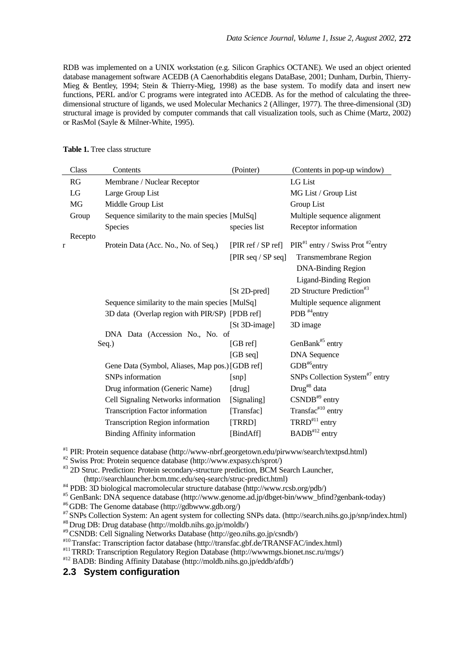RDB was implemented on a UNIX workstation (e.g. Silicon Graphics OCTANE). We used an object oriented database management software ACEDB (A Caenorhabditis elegans DataBase, 2001; Dunham, Durbin, Thierry-Mieg & Bentley, 1994; Stein & Thierry-Mieg, 1998) as the base system. To modify data and insert new functions, PERL and/or C programs were integrated into ACEDB. As for the method of calculating the threedimensional structure of ligands, we used Molecular Mechanics 2 (Allinger, 1977). The three-dimensional (3D) structural image is provided by computer commands that call visualization tools, such as Chime (Martz, 2002) or RasMol (Sayle & Milner-White, 1995).

|   | Class   | Contents                                        | (Pointer)               | (Contents in pop-up window)                    |
|---|---------|-------------------------------------------------|-------------------------|------------------------------------------------|
|   | RG      | Membrane / Nuclear Receptor                     |                         | LG List                                        |
|   | LG      | Large Group List                                |                         | MG List / Group List                           |
|   | MG      | Middle Group List                               |                         | Group List                                     |
|   | Group   | Sequence similarity to the main species [MulSq] |                         | Multiple sequence alignment                    |
|   |         | Species                                         | species list            | Receptor information                           |
|   | Recepto |                                                 |                         |                                                |
| r |         | Protein Data (Acc. No., No. of Seq.)            | [ $PIR$ ref / $SP$ ref] | $PIR#1$ entry / Swiss Prot <sup>#2</sup> entry |
|   |         |                                                 | [PIR seq / SP seq]      | <b>Transmembrane Region</b>                    |
|   |         |                                                 |                         | <b>DNA-Binding Region</b>                      |
|   |         |                                                 |                         | <b>Ligand-Binding Region</b>                   |
|   |         |                                                 | [St 2D-pred]            | 2D Structure Prediction <sup>#3</sup>          |
|   |         | Sequence similarity to the main species [MulSq] |                         | Multiple sequence alignment                    |
|   |         | 3D data (Overlap region with PIR/SP) [PDB ref]  |                         | PDB <sup>#4</sup> entry                        |
|   |         |                                                 | [St 3D-image]           | 3D image                                       |
|   |         | DNA Data (Accession No., No. of                 |                         | GenBank <sup>#5</sup> entry                    |
|   |         | Seq.)                                           | [GBref]                 |                                                |
|   |         |                                                 | $[GB \text{ seq}]$      | <b>DNA</b> Sequence                            |
|   |         | Gene Data (Symbol, Aliases, Map pos.) [GDB ref] |                         | $GDB^{#6}$ entry                               |
|   |         | SNPs information                                | [snp]                   | SNPs Collection System <sup>#7</sup> entry     |
|   |         | Drug information (Generic Name)                 | [drug]                  | Drug <sup>#8</sup> data                        |
|   |         | Cell Signaling Networks information             | [Signaling]             | $CSNDB^{*9}$ entry                             |
|   |         | Transcription Factor information                | [Transfac]              | Transfac#10 entry                              |
|   |         | Transcription Region information                | [TRRD]                  | $TRRD$ <sup>#11</sup> entry                    |
|   |         | <b>Binding Affinity information</b>             | [BindAff]               | $BADB^{\#12}$ entry                            |

#### **Table 1.** Tree class structure

#1 PIR: Protein sequence database (http://www-nbrf.georgetown.edu/pirwww/search/textpsd.html)

#2 Swiss Prot: Protein sequence database (http://www.expasy.ch/sprot/)

#3 2D Struc. Prediction: Protein secondary-structure prediction, BCM Search Launcher,

(http://searchlauncher.bcm.tmc.edu/seq-search/struc-predict.html)

#4 PDB: 3D biological macromolecular structure database (http://www.rcsb.org/pdb/)

#5 GenBank: DNA sequence database (http://www.genome.ad.jp/dbget-bin/www\_bfind?genbank-today)

#6 GDB: The Genome database (http://gdbwww.gdb.org/)

#7 SNPs Collection System: An agent system for collecting SNPs data. (http://search.nihs.go.jp/snp/index.html)

#8 Drug DB: Drug database (http://moldb.nihs.go.jp/moldb/)

#9 CSNDB: Cell Signaling Networks Database (http://geo.nihs.go.jp/csndb/)

#10 Transfac: Transcription factor database (http://transfac.gbf.de/TRANSFAC/index.html)

#11 TRRD: Transcription Regulatory Region Database (http://wwwmgs.bionet.nsc.ru/mgs/)

#12 BADB: Binding Affinity Database (http://moldb.nihs.go.jp/eddb/afdb/)

### **2.3 System configuration**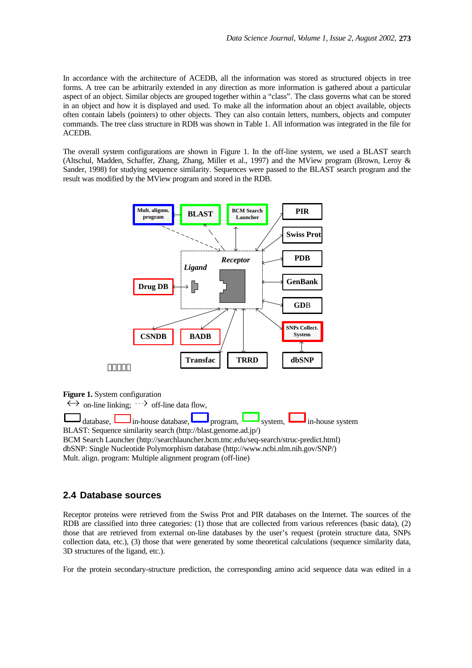In accordance with the architecture of ACEDB, all the information was stored as structured objects in tree forms. A tree can be arbitrarily extended in any direction as more information is gathered about a particular aspect of an object. Similar objects are grouped together within a "class". The class governs what can be stored in an object and how it is displayed and used. To make all the information about an object available, objects often contain labels (pointers) to other objects. They can also contain letters, numbers, objects and computer commands. The tree class structure in RDB was shown in Table 1. All information was integrated in the file for ACEDB.

The overall system configurations are shown in Figure 1. In the off-line system, we used a BLAST search (Altschul, Madden, Schaffer, Zhang, Zhang, Miller et al., 1997) and the MView program (Brown, Leroy & Sander, 1998) for studying sequence similarity. Sequences were passed to the BLAST search program and the result was modified by the MView program and stored in the RDB.



**Figure 1.** System configuration

 $\leftrightarrow$  on-line linking;  $\leftrightarrow$  off-line data flow.  $\Box$  database,  $\Box$  in-house database, program,  $\Box$  system,  $\Box$  in-house system BLAST: Sequence similarity search (http://blast.genome.ad.jp/) BCM Search Launcher (http://searchlauncher.bcm.tmc.edu/seq-search/struc-predict.html) dbSNP: Single Nucleotide Polymorphism database (http://www.ncbi.nlm.nih.gov/SNP/) Mult. align. program: Multiple alignment program (off-line)

#### **2.4 Database sources**

Receptor proteins were retrieved from the Swiss Prot and PIR databases on the Internet. The sources of the RDB are classified into three categories: (1) those that are collected from various references (basic data), (2) those that are retrieved from external on-line databases by the user's request (protein structure data, SNPs collection data, etc.), (3) those that were generated by some theoretical calculations (sequence similarity data, 3D structures of the ligand, etc.).

For the protein secondary-structure prediction, the corresponding amino acid sequence data was edited in a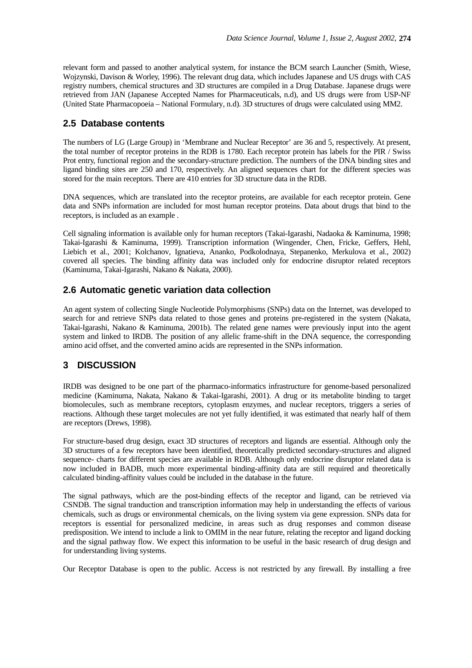relevant form and passed to another analytical system, for instance the BCM search Launcher (Smith, Wiese, Wojzynski, Davison & Worley, 1996). The relevant drug data, which includes Japanese and US drugs with CAS registry numbers, chemical structures and 3D structures are compiled in a Drug Database. Japanese drugs were retrieved from JAN (Japanese Accepted Names for Pharmaceuticals, n.d), and US drugs were from USP-NF (United State Pharmacopoeia – National Formulary, n.d). 3D structures of drugs were calculated using MM2.

#### **2.5 Database contents**

The numbers of LG (Large Group) in 'Membrane and Nuclear Receptor' are 36 and 5, respectively. At present, the total number of receptor proteins in the RDB is 1780. Each receptor protein has labels for the PIR / Swiss Prot entry, functional region and the secondary-structure prediction. The numbers of the DNA binding sites and ligand binding sites are 250 and 170, respectively. An aligned sequences chart for the different species was stored for the main receptors. There are 410 entries for 3D structure data in the RDB.

DNA sequences, which are translated into the receptor proteins, are available for each receptor protein. Gene data and SNPs information are included for most human receptor proteins. Data about drugs that bind to the receptors, is included as an example .

Cell signaling information is available only for human receptors (Takai-Igarashi, Nadaoka & Kaminuma, 1998; Takai-Igarashi & Kaminuma, 1999). Transcription information (Wingender, Chen, Fricke, Geffers, Hehl, Liebich et al., 2001; Kolchanov, Ignatieva, Ananko, Podkolodnaya, Stepanenko, Merkulova et al., 2002) covered all species. The binding affinity data was included only for endocrine disruptor related receptors (Kaminuma, Takai-Igarashi, Nakano & Nakata, 2000).

#### **2.6 Automatic genetic variation data collection**

An agent system of collecting Single Nucleotide Polymorphisms (SNPs) data on the Internet, was developed to search for and retrieve SNPs data related to those genes and proteins pre-registered in the system (Nakata, Takai-Igarashi, Nakano & Kaminuma, 2001b). The related gene names were previously input into the agent system and linked to IRDB. The position of any allelic frame-shift in the DNA sequence, the corresponding amino acid offset, and the converted amino acids are represented in the SNPs information.

### **3 DISCUSSION**

IRDB was designed to be one part of the pharmaco-informatics infrastructure for genome-based personalized medicine (Kaminuma, Nakata, Nakano & Takai-Igarashi, 2001). A drug or its metabolite binding to target biomolecules, such as membrane receptors, cytoplasm enzymes, and nuclear receptors, triggers a series of reactions. Although these target molecules are not yet fully identified, it was estimated that nearly half of them are receptors (Drews, 1998).

For structure-based drug design, exact 3D structures of receptors and ligands are essential. Although only the 3D structures of a few receptors have been identified, theoretically predicted secondary-structures and aligned sequence- charts for different species are available in RDB. Although only endocrine disruptor related data is now included in BADB, much more experimental binding-affinity data are still required and theoretically calculated binding-affinity values could be included in the database in the future.

The signal pathways, which are the post-binding effects of the receptor and ligand, can be retrieved via CSNDB. The signal tranduction and transcription information may help in understanding the effects of various chemicals, such as drugs or environmental chemicals, on the living system via gene expression. SNPs data for receptors is essential for personalized medicine, in areas such as drug responses and common disease predisposition. We intend to include a link to OMIM in the near future, relating the receptor and ligand docking and the signal pathway flow. We expect this information to be useful in the basic research of drug design and for understanding living systems.

Our Receptor Database is open to the public. Access is not restricted by any firewall. By installing a free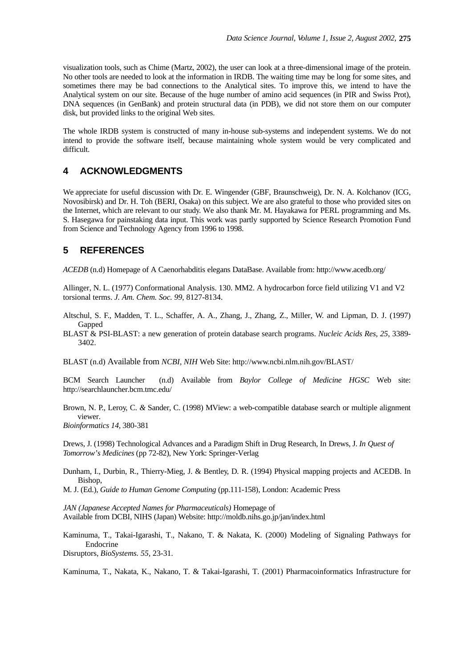visualization tools, such as Chime (Martz, 2002), the user can look at a three-dimensional image of the protein. No other tools are needed to look at the information in IRDB. The waiting time may be long for some sites, and sometimes there may be bad connections to the Analytical sites. To improve this, we intend to have the Analytical system on our site. Because of the huge number of amino acid sequences (in PIR and Swiss Prot), DNA sequences (in GenBank) and protein structural data (in PDB), we did not store them on our computer disk, but provided links to the original Web sites.

The whole IRDB system is constructed of many in-house sub-systems and independent systems. We do not intend to provide the software itself, because maintaining whole system would be very complicated and difficult.

#### **4 ACKNOWLEDGMENTS**

We appreciate for useful discussion with Dr. E. Wingender (GBF, Braunschweig), Dr. N. A. Kolchanov (ICG, Novosibirsk) and Dr. H. Toh (BERI, Osaka) on this subject. We are also grateful to those who provided sites on the Internet, which are relevant to our study. We also thank Mr. M. Hayakawa for PERL programming and Ms. S. Hasegawa for painstaking data input. This work was partly supported by Science Research Promotion Fund from Science and Technology Agency from 1996 to 1998.

### **5 REFERENCES**

*ACEDB* (n.d) Homepage of A Caenorhabditis elegans DataBase. Available from: http://www.acedb.org/

Allinger, N. L. (1977) Conformational Analysis. 130. MM2. A hydrocarbon force field utilizing V1 and V2 torsional terms. *J. Am. Chem. Soc. 99*, 8127-8134.

- Altschul, S. F., Madden, T. L., Schaffer, A. A., Zhang, J., Zhang, Z., Miller, W. and Lipman, D. J. (1997) Gapped
- BLAST & PSI-BLAST: a new generation of protein database search programs. *Nucleic Acids Res, 25*, 3389- 3402.

BLAST (n.d) Available from *NCBI, NIH* Web Site: http://www.ncbi.nlm.nih.gov/BLAST/

BCM Search Launcher (n.d) Available from *Baylor College of Medicine HGSC* Web site: http://searchlauncher.bcm.tmc.edu/

Brown, N. P., Leroy, C. *&* Sander, C. (1998) MView: a web-compatible database search or multiple alignment viewer.

*Bioinformatics 14*, 380-381

Drews, J. (1998) Technological Advances and a Paradigm Shift in Drug Research, In Drews, J. *In Quest of Tomorrow's Medicines* (pp 72-82), New York: Springer-Verlag

Dunham, I., Durbin, R., Thierry-Mieg, J. & Bentley, D. R. (1994) Physical mapping projects and ACEDB. In Bishop,

M. J. (Ed.), *Guide to Human Genome Computing* (pp.111-158), London: Academic Press

*JAN (Japanese Accepted Names for Pharmaceuticals)* Homepage of Available from DCBI, NIHS (Japan) Website: http://moldb.nihs.go.jp/jan/index.html

Kaminuma, T., Takai-Igarashi, T., Nakano, T. & Nakata, K. (2000) Modeling of Signaling Pathways for Endocrine

Disruptors, *BioSystems. 55,* 23-31.

Kaminuma, T., Nakata, K., Nakano, T. & Takai-Igarashi, T. (2001) Pharmacoinformatics Infrastructure for